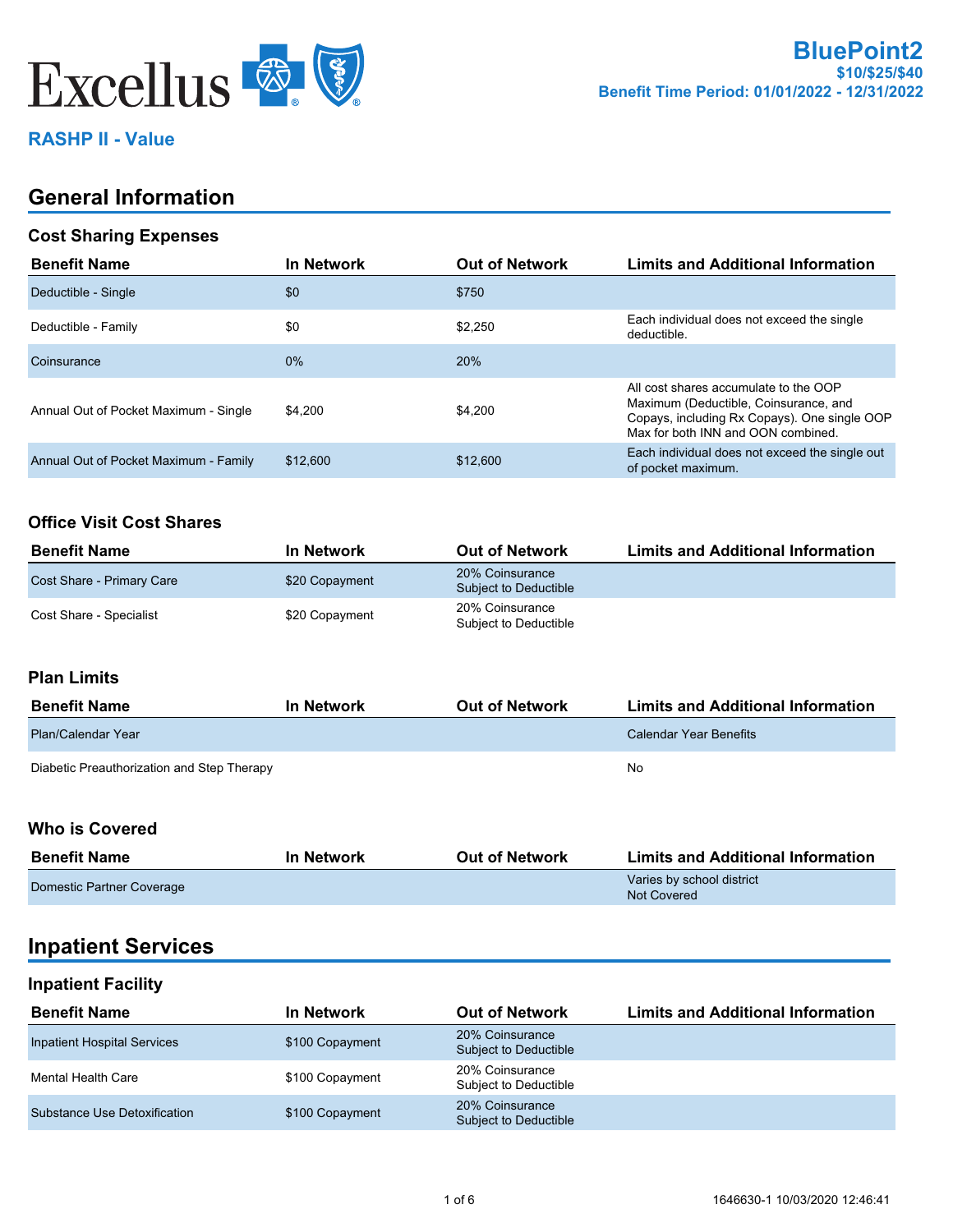

## **RASHP II - Value**

## **General Information**

### **Cost Sharing Expenses**

| <b>Benefit Name</b>                   | In Network | <b>Out of Network</b> | <b>Limits and Additional Information</b>                                                                                                                             |
|---------------------------------------|------------|-----------------------|----------------------------------------------------------------------------------------------------------------------------------------------------------------------|
| Deductible - Single                   | \$0        | \$750                 |                                                                                                                                                                      |
| Deductible - Family                   | \$0        | \$2.250               | Each individual does not exceed the single<br>deductible.                                                                                                            |
| Coinsurance                           | $0\%$      | 20%                   |                                                                                                                                                                      |
| Annual Out of Pocket Maximum - Single | \$4.200    | \$4,200               | All cost shares accumulate to the OOP<br>Maximum (Deductible, Coinsurance, and<br>Copays, including Rx Copays). One single OOP<br>Max for both INN and OON combined. |
| Annual Out of Pocket Maximum - Family | \$12,600   | \$12,600              | Each individual does not exceed the single out<br>of pocket maximum.                                                                                                 |

#### **Office Visit Cost Shares**

| <b>Benefit Name</b>       | <b>In Network</b> | <b>Out of Network</b>                    | <b>Limits and Additional Information</b> |
|---------------------------|-------------------|------------------------------------------|------------------------------------------|
| Cost Share - Primary Care | \$20 Copayment    | 20% Coinsurance<br>Subject to Deductible |                                          |
| Cost Share - Specialist   | \$20 Copayment    | 20% Coinsurance<br>Subject to Deductible |                                          |

### **Plan Limits**

| <b>Benefit Name</b>                        | <b>In Network</b> | <b>Out of Network</b> | <b>Limits and Additional Information</b> |
|--------------------------------------------|-------------------|-----------------------|------------------------------------------|
| Plan/Calendar Year                         |                   |                       | Calendar Year Benefits                   |
| Diabetic Preauthorization and Step Therapy |                   |                       | No                                       |

#### **Who is Covered**

| <b>Benefit Name</b>       | <b>In Network</b> | <b>Out of Network</b> | <b>Limits and Additional Information</b>        |
|---------------------------|-------------------|-----------------------|-------------------------------------------------|
| Domestic Partner Coverage |                   |                       | Varies by school district<br><b>Not Covered</b> |

## **Inpatient Services**

#### **Inpatient Facility**

| <b>Benefit Name</b>                | In Network      | <b>Out of Network</b>                    | <b>Limits and Additional Information</b> |
|------------------------------------|-----------------|------------------------------------------|------------------------------------------|
| <b>Inpatient Hospital Services</b> | \$100 Copayment | 20% Coinsurance<br>Subject to Deductible |                                          |
| Mental Health Care                 | \$100 Copayment | 20% Coinsurance<br>Subject to Deductible |                                          |
| Substance Use Detoxification       | \$100 Copayment | 20% Coinsurance<br>Subject to Deductible |                                          |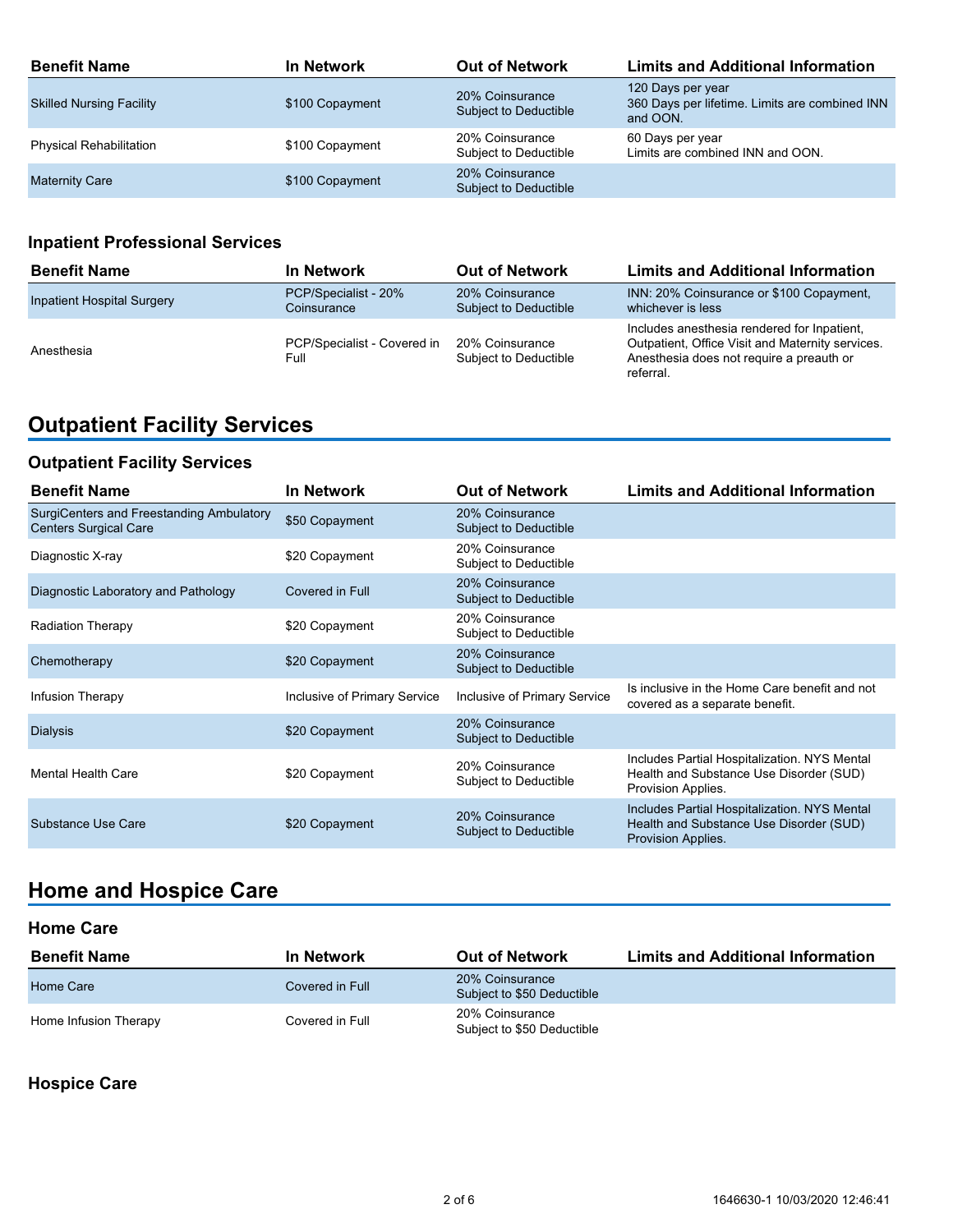| <b>Benefit Name</b>             | In Network      | <b>Out of Network</b>                    | <b>Limits and Additional Information</b>                                        |
|---------------------------------|-----------------|------------------------------------------|---------------------------------------------------------------------------------|
| <b>Skilled Nursing Facility</b> | \$100 Copayment | 20% Coinsurance<br>Subject to Deductible | 120 Days per year<br>360 Days per lifetime. Limits are combined INN<br>and OON. |
| <b>Physical Rehabilitation</b>  | \$100 Copayment | 20% Coinsurance<br>Subject to Deductible | 60 Days per year<br>Limits are combined INN and OON.                            |
| <b>Maternity Care</b>           | \$100 Copayment | 20% Coinsurance<br>Subject to Deductible |                                                                                 |

## **Inpatient Professional Services**

| <b>Benefit Name</b>               | In Network                          | <b>Out of Network</b>                    | <b>Limits and Additional Information</b>                                                                                                                 |
|-----------------------------------|-------------------------------------|------------------------------------------|----------------------------------------------------------------------------------------------------------------------------------------------------------|
| <b>Inpatient Hospital Surgery</b> | PCP/Specialist - 20%<br>Coinsurance | 20% Coinsurance<br>Subject to Deductible | INN: 20% Coinsurance or \$100 Copayment,<br>whichever is less                                                                                            |
| Anesthesia                        | PCP/Specialist - Covered in<br>Full | 20% Coinsurance<br>Subject to Deductible | Includes anesthesia rendered for Inpatient.<br>Outpatient, Office Visit and Maternity services.<br>Anesthesia does not require a preauth or<br>referral. |

# **Outpatient Facility Services**

## **Outpatient Facility Services**

| <b>Benefit Name</b>                                                      | <b>In Network</b>            | <b>Out of Network</b>                           | <b>Limits and Additional Information</b>                                                                      |
|--------------------------------------------------------------------------|------------------------------|-------------------------------------------------|---------------------------------------------------------------------------------------------------------------|
| SurgiCenters and Freestanding Ambulatory<br><b>Centers Surgical Care</b> | \$50 Copayment               | 20% Coinsurance<br><b>Subject to Deductible</b> |                                                                                                               |
| Diagnostic X-ray                                                         | \$20 Copayment               | 20% Coinsurance<br>Subject to Deductible        |                                                                                                               |
| Diagnostic Laboratory and Pathology                                      | Covered in Full              | 20% Coinsurance<br>Subject to Deductible        |                                                                                                               |
| <b>Radiation Therapy</b>                                                 | \$20 Copayment               | 20% Coinsurance<br>Subject to Deductible        |                                                                                                               |
| Chemotherapy                                                             | \$20 Copayment               | 20% Coinsurance<br><b>Subject to Deductible</b> |                                                                                                               |
| Infusion Therapy                                                         | Inclusive of Primary Service | Inclusive of Primary Service                    | Is inclusive in the Home Care benefit and not<br>covered as a separate benefit.                               |
| <b>Dialysis</b>                                                          | \$20 Copayment               | 20% Coinsurance<br>Subject to Deductible        |                                                                                                               |
| Mental Health Care                                                       | \$20 Copayment               | 20% Coinsurance<br>Subject to Deductible        | Includes Partial Hospitalization. NYS Mental<br>Health and Substance Use Disorder (SUD)<br>Provision Applies. |
| Substance Use Care                                                       | \$20 Copayment               | 20% Coinsurance<br>Subject to Deductible        | Includes Partial Hospitalization. NYS Mental<br>Health and Substance Use Disorder (SUD)<br>Provision Applies. |

# **Home and Hospice Care**

#### **Home Care**

| <b>Benefit Name</b>   | <b>In Network</b> | <b>Out of Network</b>                         | <b>Limits and Additional Information</b> |
|-----------------------|-------------------|-----------------------------------------------|------------------------------------------|
| Home Care             | Covered in Full   | 20% Coinsurance<br>Subject to \$50 Deductible |                                          |
| Home Infusion Therapy | Covered in Full   | 20% Coinsurance<br>Subject to \$50 Deductible |                                          |

**Hospice Care**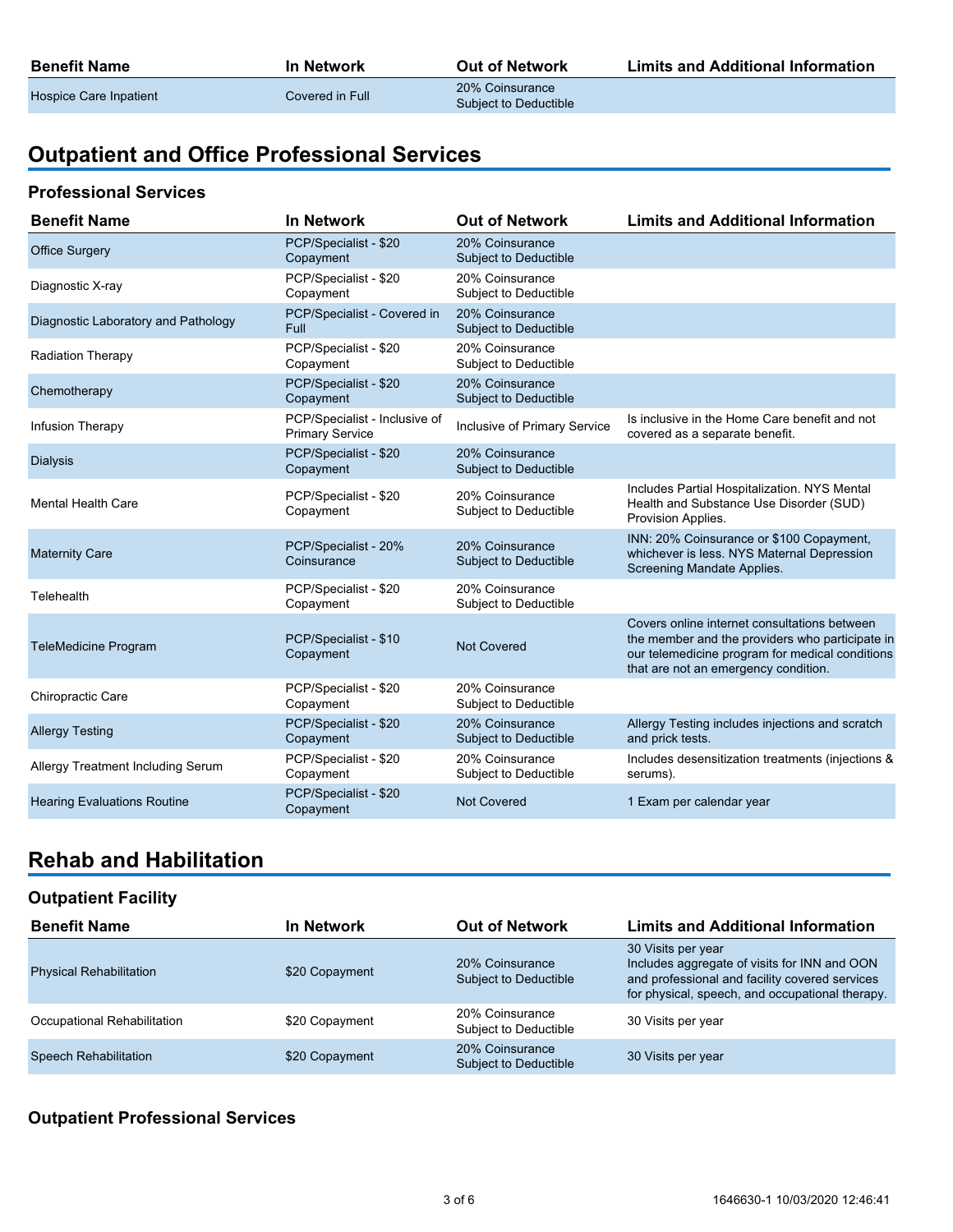| <b>Benefit Name</b>    | In Network      | <b>Out of Network</b>                    | <b>Limits and Additional Information</b> |
|------------------------|-----------------|------------------------------------------|------------------------------------------|
| Hospice Care Inpatient | Covered in Full | 20% Coinsurance<br>Subject to Deductible |                                          |

# **Outpatient and Office Professional Services**

#### **Professional Services**

| <b>Benefit Name</b>                 | <b>In Network</b>                                       | <b>Out of Network</b>                           | <b>Limits and Additional Information</b>                                                                                                                                                   |
|-------------------------------------|---------------------------------------------------------|-------------------------------------------------|--------------------------------------------------------------------------------------------------------------------------------------------------------------------------------------------|
| <b>Office Surgery</b>               | PCP/Specialist - \$20<br>Copayment                      | 20% Coinsurance<br>Subject to Deductible        |                                                                                                                                                                                            |
| Diagnostic X-ray                    | PCP/Specialist - \$20<br>Copayment                      | 20% Coinsurance<br>Subject to Deductible        |                                                                                                                                                                                            |
| Diagnostic Laboratory and Pathology | PCP/Specialist - Covered in<br>Full                     | 20% Coinsurance<br><b>Subject to Deductible</b> |                                                                                                                                                                                            |
| <b>Radiation Therapy</b>            | PCP/Specialist - \$20<br>Copayment                      | 20% Coinsurance<br>Subject to Deductible        |                                                                                                                                                                                            |
| Chemotherapy                        | PCP/Specialist - \$20<br>Copayment                      | 20% Coinsurance<br>Subject to Deductible        |                                                                                                                                                                                            |
| Infusion Therapy                    | PCP/Specialist - Inclusive of<br><b>Primary Service</b> | Inclusive of Primary Service                    | Is inclusive in the Home Care benefit and not<br>covered as a separate benefit.                                                                                                            |
| <b>Dialysis</b>                     | PCP/Specialist - \$20<br>Copayment                      | 20% Coinsurance<br>Subject to Deductible        |                                                                                                                                                                                            |
| <b>Mental Health Care</b>           | PCP/Specialist - \$20<br>Copayment                      | 20% Coinsurance<br>Subject to Deductible        | Includes Partial Hospitalization. NYS Mental<br>Health and Substance Use Disorder (SUD)<br>Provision Applies.                                                                              |
| <b>Maternity Care</b>               | PCP/Specialist - 20%<br>Coinsurance                     | 20% Coinsurance<br>Subject to Deductible        | INN: 20% Coinsurance or \$100 Copayment,<br>whichever is less. NYS Maternal Depression<br>Screening Mandate Applies.                                                                       |
| Telehealth                          | PCP/Specialist - \$20<br>Copayment                      | 20% Coinsurance<br>Subject to Deductible        |                                                                                                                                                                                            |
| <b>TeleMedicine Program</b>         | PCP/Specialist - \$10<br>Copayment                      | <b>Not Covered</b>                              | Covers online internet consultations between<br>the member and the providers who participate in<br>our telemedicine program for medical conditions<br>that are not an emergency condition. |
| Chiropractic Care                   | PCP/Specialist - \$20<br>Copayment                      | 20% Coinsurance<br>Subject to Deductible        |                                                                                                                                                                                            |
| <b>Allergy Testing</b>              | PCP/Specialist - \$20<br>Copayment                      | 20% Coinsurance<br>Subject to Deductible        | Allergy Testing includes injections and scratch<br>and prick tests.                                                                                                                        |
| Allergy Treatment Including Serum   | PCP/Specialist - \$20<br>Copayment                      | 20% Coinsurance<br>Subject to Deductible        | Includes desensitization treatments (injections &<br>serums).                                                                                                                              |
| <b>Hearing Evaluations Routine</b>  | PCP/Specialist - \$20<br>Copayment                      | <b>Not Covered</b>                              | 1 Exam per calendar year                                                                                                                                                                   |

## **Rehab and Habilitation**

### **Outpatient Facility**

| <b>Benefit Name</b>            | In Network     | <b>Out of Network</b>                           | <b>Limits and Additional Information</b>                                                                                                                                |
|--------------------------------|----------------|-------------------------------------------------|-------------------------------------------------------------------------------------------------------------------------------------------------------------------------|
| <b>Physical Rehabilitation</b> | \$20 Copayment | 20% Coinsurance<br>Subject to Deductible        | 30 Visits per year<br>Includes aggregate of visits for INN and OON<br>and professional and facility covered services<br>for physical, speech, and occupational therapy. |
| Occupational Rehabilitation    | \$20 Copayment | 20% Coinsurance<br>Subject to Deductible        | 30 Visits per year                                                                                                                                                      |
| <b>Speech Rehabilitation</b>   | \$20 Copayment | 20% Coinsurance<br><b>Subject to Deductible</b> | 30 Visits per year                                                                                                                                                      |

## **Outpatient Professional Services**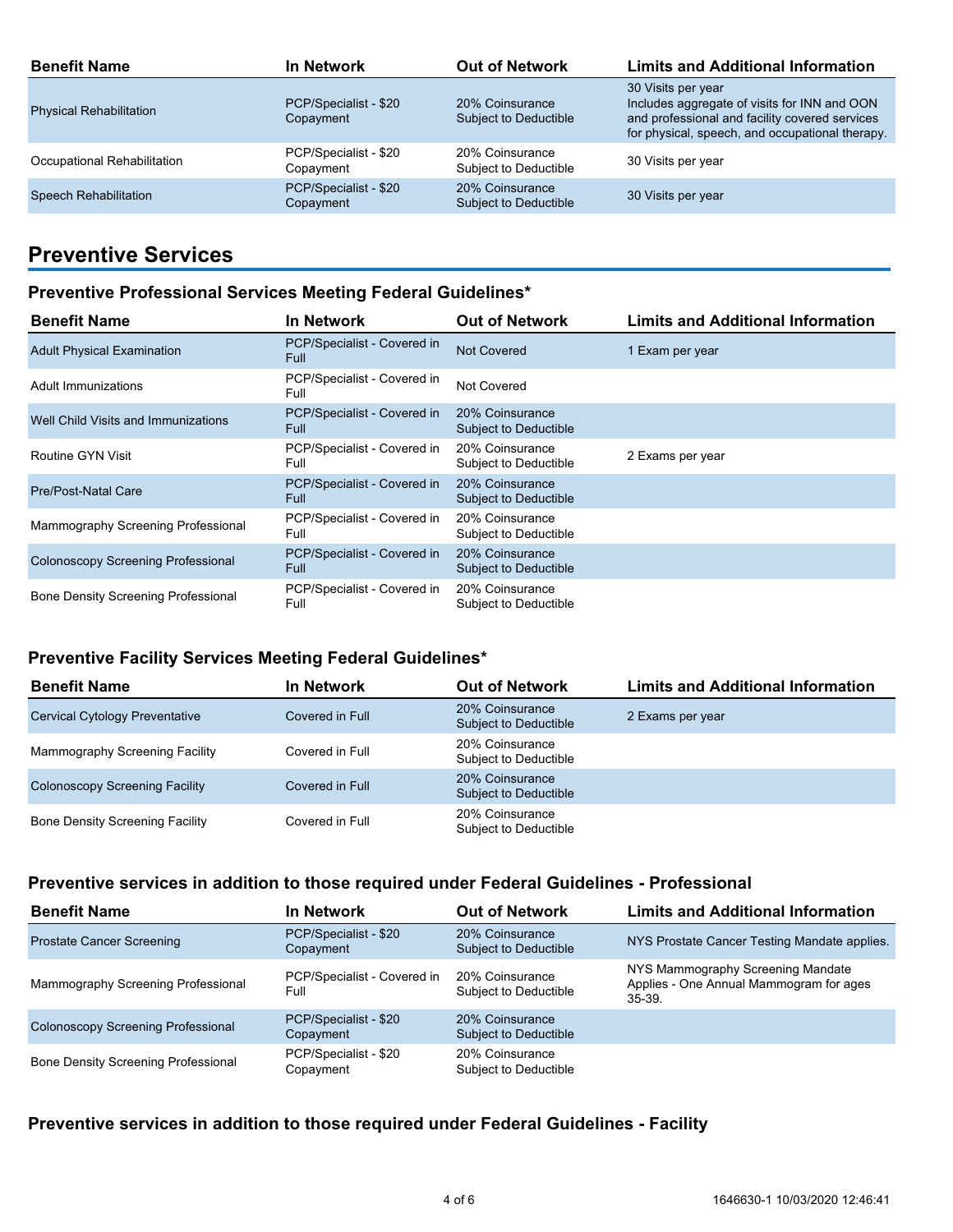| <b>Benefit Name</b>            | <b>In Network</b>                  | <b>Out of Network</b>                    | <b>Limits and Additional Information</b>                                                                                                                                |
|--------------------------------|------------------------------------|------------------------------------------|-------------------------------------------------------------------------------------------------------------------------------------------------------------------------|
| <b>Physical Rehabilitation</b> | PCP/Specialist - \$20<br>Copayment | 20% Coinsurance<br>Subject to Deductible | 30 Visits per year<br>Includes aggregate of visits for INN and OON<br>and professional and facility covered services<br>for physical, speech, and occupational therapy. |
| Occupational Rehabilitation    | PCP/Specialist - \$20<br>Copayment | 20% Coinsurance<br>Subject to Deductible | 30 Visits per year                                                                                                                                                      |
| <b>Speech Rehabilitation</b>   | PCP/Specialist - \$20<br>Copayment | 20% Coinsurance<br>Subject to Deductible | 30 Visits per year                                                                                                                                                      |

## **Preventive Services**

#### **Preventive Professional Services Meeting Federal Guidelines\***

| <b>Benefit Name</b>                        | <b>In Network</b>                          | <b>Out of Network</b>                    | <b>Limits and Additional Information</b> |
|--------------------------------------------|--------------------------------------------|------------------------------------------|------------------------------------------|
| <b>Adult Physical Examination</b>          | PCP/Specialist - Covered in<br><b>Full</b> | <b>Not Covered</b>                       | 1 Exam per year                          |
| Adult Immunizations                        | PCP/Specialist - Covered in<br>Full        | Not Covered                              |                                          |
| Well Child Visits and Immunizations        | PCP/Specialist - Covered in<br><b>Full</b> | 20% Coinsurance<br>Subject to Deductible |                                          |
| Routine GYN Visit                          | PCP/Specialist - Covered in<br>Full        | 20% Coinsurance<br>Subject to Deductible | 2 Exams per year                         |
| <b>Pre/Post-Natal Care</b>                 | PCP/Specialist - Covered in<br><b>Full</b> | 20% Coinsurance<br>Subject to Deductible |                                          |
| Mammography Screening Professional         | PCP/Specialist - Covered in<br>Full        | 20% Coinsurance<br>Subject to Deductible |                                          |
| <b>Colonoscopy Screening Professional</b>  | PCP/Specialist - Covered in<br><b>Full</b> | 20% Coinsurance<br>Subject to Deductible |                                          |
| <b>Bone Density Screening Professional</b> | PCP/Specialist - Covered in<br>Full        | 20% Coinsurance<br>Subject to Deductible |                                          |

#### **Preventive Facility Services Meeting Federal Guidelines\***

| <b>Benefit Name</b>                    | <b>In Network</b> | <b>Out of Network</b>                           | <b>Limits and Additional Information</b> |
|----------------------------------------|-------------------|-------------------------------------------------|------------------------------------------|
| <b>Cervical Cytology Preventative</b>  | Covered in Full   | 20% Coinsurance<br><b>Subject to Deductible</b> | 2 Exams per year                         |
| Mammography Screening Facility         | Covered in Full   | 20% Coinsurance<br>Subject to Deductible        |                                          |
| <b>Colonoscopy Screening Facility</b>  | Covered in Full   | 20% Coinsurance<br>Subject to Deductible        |                                          |
| <b>Bone Density Screening Facility</b> | Covered in Full   | 20% Coinsurance<br>Subject to Deductible        |                                          |

### **Preventive services in addition to those required under Federal Guidelines - Professional**

| <b>Benefit Name</b>                        | <b>In Network</b>                   | <b>Out of Network</b>                    | <b>Limits and Additional Information</b>                                                 |
|--------------------------------------------|-------------------------------------|------------------------------------------|------------------------------------------------------------------------------------------|
| <b>Prostate Cancer Screening</b>           | PCP/Specialist - \$20<br>Copayment  | 20% Coinsurance<br>Subject to Deductible | NYS Prostate Cancer Testing Mandate applies.                                             |
| Mammography Screening Professional         | PCP/Specialist - Covered in<br>Full | 20% Coinsurance<br>Subject to Deductible | NYS Mammography Screening Mandate<br>Applies - One Annual Mammogram for ages<br>$35-39.$ |
| <b>Colonoscopy Screening Professional</b>  | PCP/Specialist - \$20<br>Copayment  | 20% Coinsurance<br>Subject to Deductible |                                                                                          |
| <b>Bone Density Screening Professional</b> | PCP/Specialist - \$20<br>Copayment  | 20% Coinsurance<br>Subject to Deductible |                                                                                          |

## **Preventive services in addition to those required under Federal Guidelines - Facility**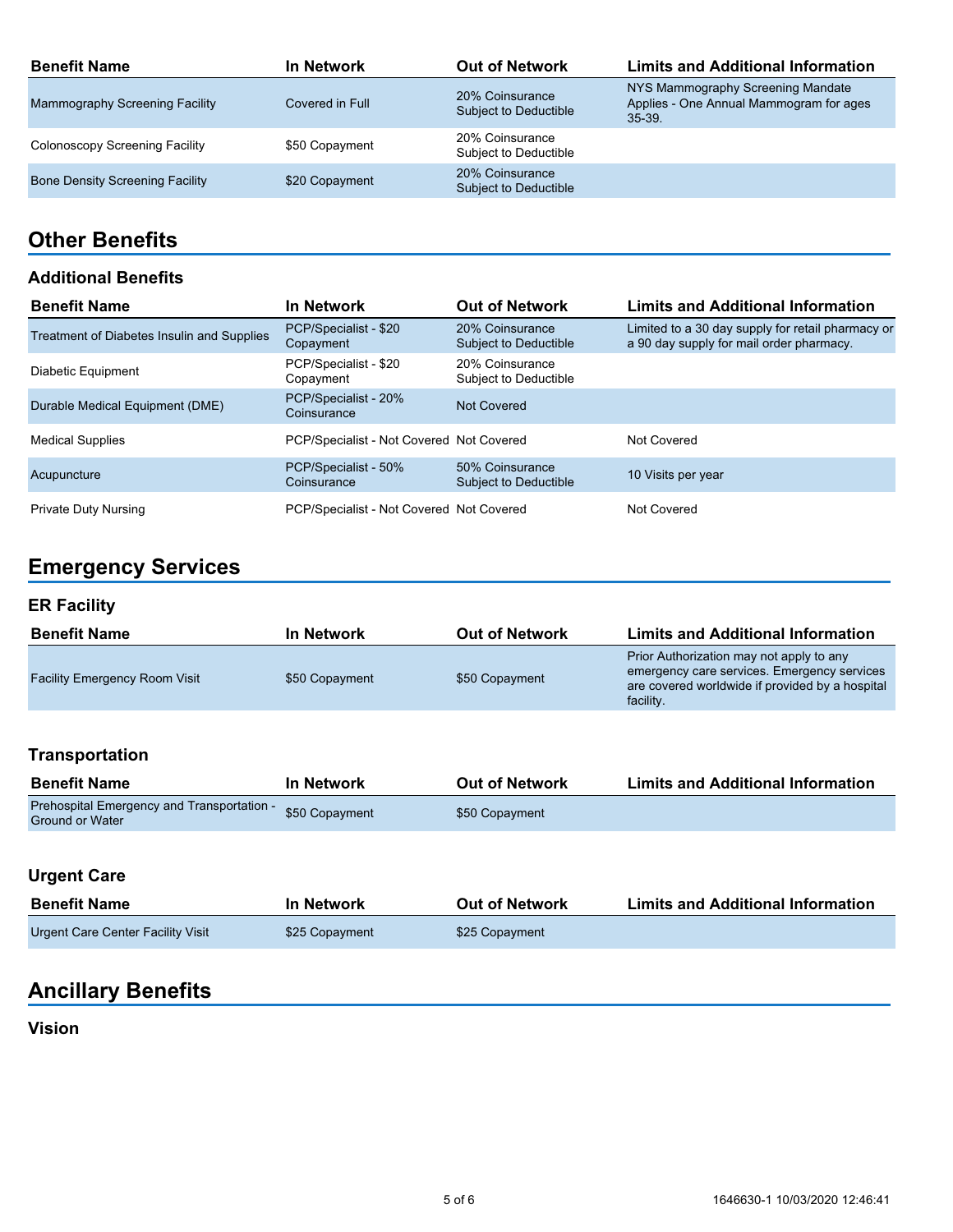| <b>Benefit Name</b>                    | In Network      | <b>Out of Network</b>                    | <b>Limits and Additional Information</b>                                                    |
|----------------------------------------|-----------------|------------------------------------------|---------------------------------------------------------------------------------------------|
| <b>Mammography Screening Facility</b>  | Covered in Full | 20% Coinsurance<br>Subject to Deductible | NYS Mammography Screening Mandate<br>Applies - One Annual Mammogram for ages<br>$35 - 39$ . |
| Colonoscopy Screening Facility         | \$50 Copayment  | 20% Coinsurance<br>Subject to Deductible |                                                                                             |
| <b>Bone Density Screening Facility</b> | \$20 Copayment  | 20% Coinsurance<br>Subject to Deductible |                                                                                             |

## **Other Benefits**

#### **Additional Benefits**

| <b>Benefit Name</b>                        | <b>In Network</b>                        | <b>Out of Network</b>                    | <b>Limits and Additional Information</b>                                                      |
|--------------------------------------------|------------------------------------------|------------------------------------------|-----------------------------------------------------------------------------------------------|
| Treatment of Diabetes Insulin and Supplies | PCP/Specialist - \$20<br>Copayment       | 20% Coinsurance<br>Subject to Deductible | Limited to a 30 day supply for retail pharmacy or<br>a 90 day supply for mail order pharmacy. |
| Diabetic Equipment                         | PCP/Specialist - \$20<br>Copayment       | 20% Coinsurance<br>Subject to Deductible |                                                                                               |
| Durable Medical Equipment (DME)            | PCP/Specialist - 20%<br>Coinsurance      | Not Covered                              |                                                                                               |
| <b>Medical Supplies</b>                    | PCP/Specialist - Not Covered Not Covered |                                          | Not Covered                                                                                   |
| Acupuncture                                | PCP/Specialist - 50%<br>Coinsurance      | 50% Coinsurance<br>Subject to Deductible | 10 Visits per year                                                                            |
| <b>Private Duty Nursing</b>                | PCP/Specialist - Not Covered Not Covered |                                          | Not Covered                                                                                   |

# **Emergency Services**

## **ER Facility**

| <b>Benefit Name</b>                  | In Network     | <b>Out of Network</b> | <b>Limits and Additional Information</b>                                                                                                                |
|--------------------------------------|----------------|-----------------------|---------------------------------------------------------------------------------------------------------------------------------------------------------|
| <b>Facility Emergency Room Visit</b> | \$50 Copayment | \$50 Copayment        | Prior Authorization may not apply to any<br>emergency care services. Emergency services<br>are covered worldwide if provided by a hospital<br>facility. |

## **Transportation**

| <b>Benefit Name</b>                                                  | In Network     | <b>Out of Network</b> | <b>Limits and Additional Information</b> |
|----------------------------------------------------------------------|----------------|-----------------------|------------------------------------------|
| Prehospital Emergency and Transportation -<br><b>Ground or Water</b> | \$50 Copayment | \$50 Copayment        |                                          |

## **Urgent Care**

| <b>Benefit Name</b>               | In Network     | <b>Out of Network</b> | <b>Limits and Additional Information</b> |
|-----------------------------------|----------------|-----------------------|------------------------------------------|
| Urgent Care Center Facility Visit | \$25 Copayment | \$25 Copayment        |                                          |

# **Ancillary Benefits**

### **Vision**